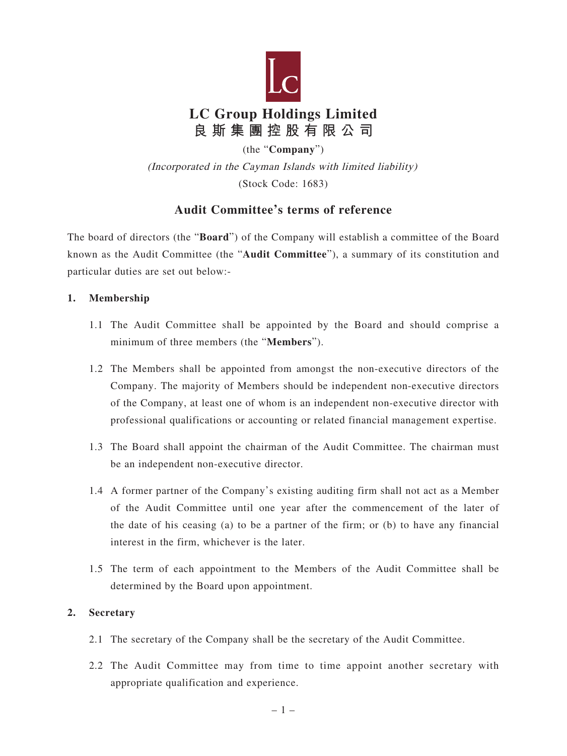

(the "**Company**")

(Incorporated in the Cayman Islands with limited liability) (Stock Code: 1683)

# **Audit Committee's terms of reference**

The board of directors (the "**Board**") of the Company will establish a committee of the Board known as the Audit Committee (the "**Audit Committee**"), a summary of its constitution and particular duties are set out below:-

# **1. Membership**

- 1.1 The Audit Committee shall be appointed by the Board and should comprise a minimum of three members (the "**Members**").
- 1.2 The Members shall be appointed from amongst the non-executive directors of the Company. The majority of Members should be independent non-executive directors of the Company, at least one of whom is an independent non-executive director with professional qualifications or accounting or related financial management expertise.
- 1.3 The Board shall appoint the chairman of the Audit Committee. The chairman must be an independent non-executive director.
- 1.4 A former partner of the Company's existing auditing firm shall not act as a Member of the Audit Committee until one year after the commencement of the later of the date of his ceasing (a) to be a partner of the firm; or (b) to have any financial interest in the firm, whichever is the later.
- 1.5 The term of each appointment to the Members of the Audit Committee shall be determined by the Board upon appointment.

# **2. Secretary**

- 2.1 The secretary of the Company shall be the secretary of the Audit Committee.
- 2.2 The Audit Committee may from time to time appoint another secretary with appropriate qualification and experience.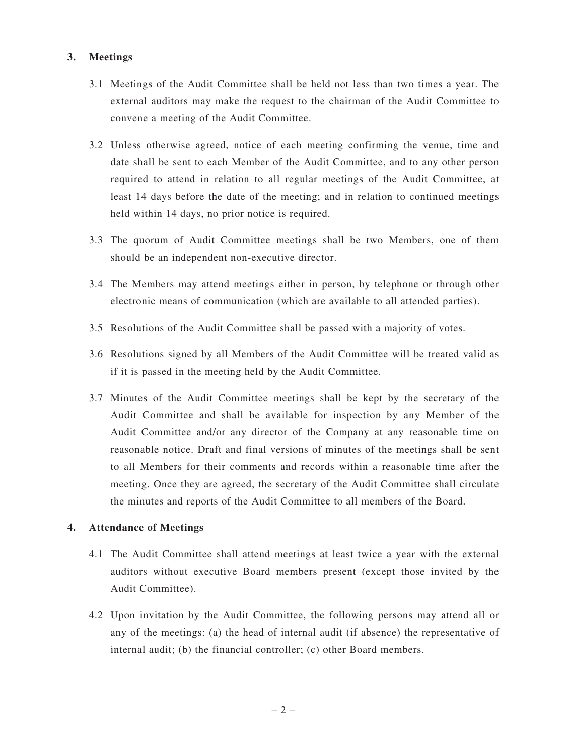# **3. Meetings**

- 3.1 Meetings of the Audit Committee shall be held not less than two times a year. The external auditors may make the request to the chairman of the Audit Committee to convene a meeting of the Audit Committee.
- 3.2 Unless otherwise agreed, notice of each meeting confirming the venue, time and date shall be sent to each Member of the Audit Committee, and to any other person required to attend in relation to all regular meetings of the Audit Committee, at least 14 days before the date of the meeting; and in relation to continued meetings held within 14 days, no prior notice is required.
- 3.3 The quorum of Audit Committee meetings shall be two Members, one of them should be an independent non-executive director.
- 3.4 The Members may attend meetings either in person, by telephone or through other electronic means of communication (which are available to all attended parties).
- 3.5 Resolutions of the Audit Committee shall be passed with a majority of votes.
- 3.6 Resolutions signed by all Members of the Audit Committee will be treated valid as if it is passed in the meeting held by the Audit Committee.
- 3.7 Minutes of the Audit Committee meetings shall be kept by the secretary of the Audit Committee and shall be available for inspection by any Member of the Audit Committee and/or any director of the Company at any reasonable time on reasonable notice. Draft and final versions of minutes of the meetings shall be sent to all Members for their comments and records within a reasonable time after the meeting. Once they are agreed, the secretary of the Audit Committee shall circulate the minutes and reports of the Audit Committee to all members of the Board.

#### **4. Attendance of Meetings**

- 4.1 The Audit Committee shall attend meetings at least twice a year with the external auditors without executive Board members present (except those invited by the Audit Committee).
- 4.2 Upon invitation by the Audit Committee, the following persons may attend all or any of the meetings: (a) the head of internal audit (if absence) the representative of internal audit; (b) the financial controller; (c) other Board members.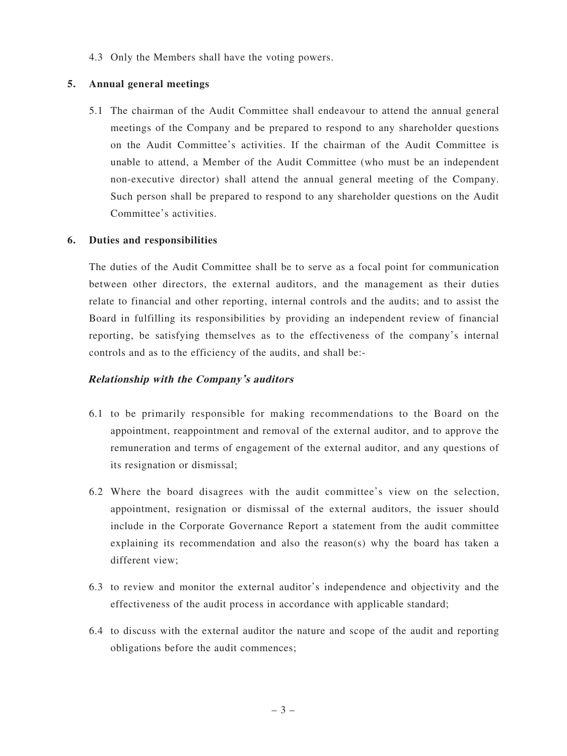4.3 Only the Members shall have the voting powers.

#### **5. Annual general meetings**

5.1 The chairman of the Audit Committee shall endeavour to attend the annual general meetings of the Company and be prepared to respond to any shareholder questions on the Audit Committee's activities. If the chairman of the Audit Committee is unable to attend, a Member of the Audit Committee (who must be an independent non-executive director) shall attend the annual general meeting of the Company. Such person shall be prepared to respond to any shareholder questions on the Audit Committee's activities.

#### **6. Duties and responsibilities**

The duties of the Audit Committee shall be to serve as a focal point for communication between other directors, the external auditors, and the management as their duties relate to financial and other reporting, internal controls and the audits; and to assist the Board in fulfilling its responsibilities by providing an independent review of financial reporting, be satisfying themselves as to the effectiveness of the company's internal controls and as to the efficiency of the audits, and shall be:-

#### **Relationship with the Company's auditors**

- 6.1 to be primarily responsible for making recommendations to the Board on the appointment, reappointment and removal of the external auditor, and to approve the remuneration and terms of engagement of the external auditor, and any questions of its resignation or dismissal;
- 6.2 Where the board disagrees with the audit committee's view on the selection, appointment, resignation or dismissal of the external auditors, the issuer should include in the Corporate Governance Report a statement from the audit committee explaining its recommendation and also the reason(s) why the board has taken a different view;
- 6.3 to review and monitor the external auditor's independence and objectivity and the effectiveness of the audit process in accordance with applicable standard;
- 6.4 to discuss with the external auditor the nature and scope of the audit and reporting obligations before the audit commences;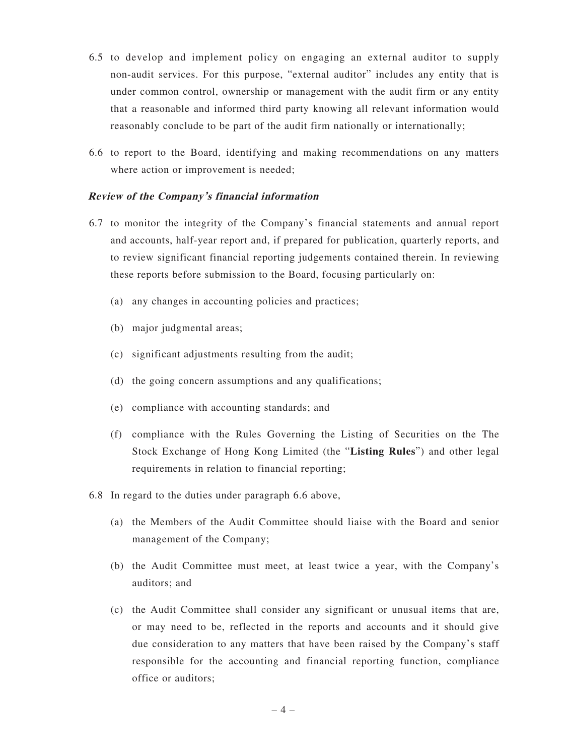- 6.5 to develop and implement policy on engaging an external auditor to supply non-audit services. For this purpose, "external auditor" includes any entity that is under common control, ownership or management with the audit firm or any entity that a reasonable and informed third party knowing all relevant information would reasonably conclude to be part of the audit firm nationally or internationally;
- 6.6 to report to the Board, identifying and making recommendations on any matters where action or improvement is needed:

#### **Review of the Company's financial information**

- 6.7 to monitor the integrity of the Company's financial statements and annual report and accounts, half-year report and, if prepared for publication, quarterly reports, and to review significant financial reporting judgements contained therein. In reviewing these reports before submission to the Board, focusing particularly on:
	- (a) any changes in accounting policies and practices;
	- (b) major judgmental areas;
	- (c) significant adjustments resulting from the audit;
	- (d) the going concern assumptions and any qualifications;
	- (e) compliance with accounting standards; and
	- (f) compliance with the Rules Governing the Listing of Securities on the The Stock Exchange of Hong Kong Limited (the "**Listing Rules**") and other legal requirements in relation to financial reporting;
- 6.8 In regard to the duties under paragraph 6.6 above,
	- (a) the Members of the Audit Committee should liaise with the Board and senior management of the Company;
	- (b) the Audit Committee must meet, at least twice a year, with the Company's auditors; and
	- (c) the Audit Committee shall consider any significant or unusual items that are, or may need to be, reflected in the reports and accounts and it should give due consideration to any matters that have been raised by the Company's staff responsible for the accounting and financial reporting function, compliance office or auditors;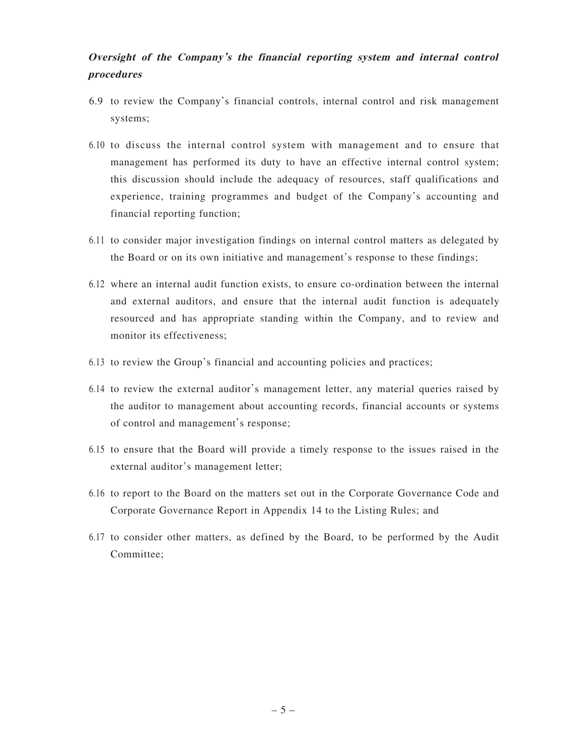# **Oversight of the Company's the financial reporting system and internal control procedures**

- 6.9 to review the Company's financial controls, internal control and risk management systems;
- 6.10 to discuss the internal control system with management and to ensure that management has performed its duty to have an effective internal control system; this discussion should include the adequacy of resources, staff qualifications and experience, training programmes and budget of the Company's accounting and financial reporting function;
- 6.11 to consider major investigation findings on internal control matters as delegated by the Board or on its own initiative and management's response to these findings;
- 6.12 where an internal audit function exists, to ensure co-ordination between the internal and external auditors, and ensure that the internal audit function is adequately resourced and has appropriate standing within the Company, and to review and monitor its effectiveness;
- 6.13 to review the Group's financial and accounting policies and practices;
- 6.14 to review the external auditor's management letter, any material queries raised by the auditor to management about accounting records, financial accounts or systems of control and management's response;
- 6.15 to ensure that the Board will provide a timely response to the issues raised in the external auditor's management letter;
- 6.16 to report to the Board on the matters set out in the Corporate Governance Code and Corporate Governance Report in Appendix 14 to the Listing Rules; and
- 6.17 to consider other matters, as defined by the Board, to be performed by the Audit Committee;